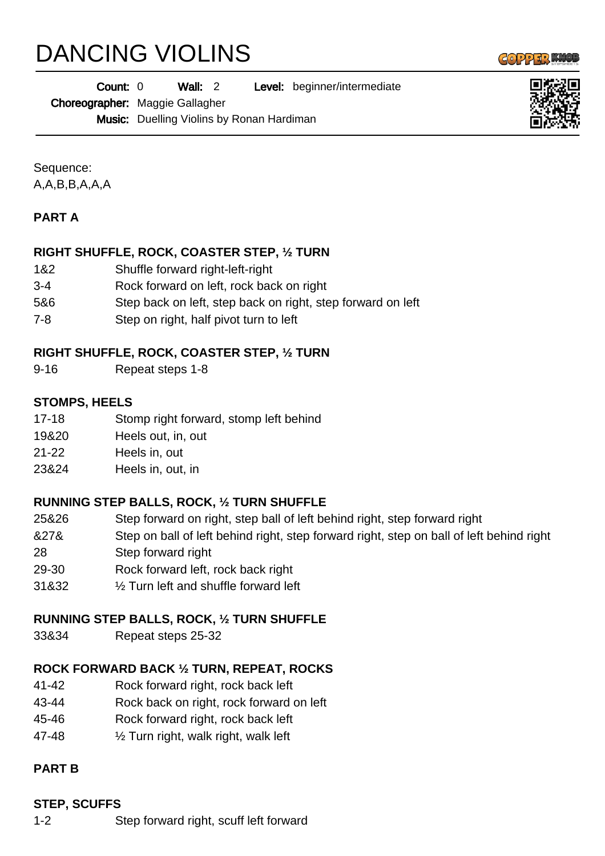# DANCING VIOLINS

 $\left(\left[\begin{smallmatrix} 0 & 0 \\ 0 & 0 \end{smallmatrix}\right], \left[\begin{smallmatrix} 0 & 0 \\ 0 & 0 \end{smallmatrix}\right], \left[\begin{smallmatrix} 0 & 0 \\ 0 & 0 \end{smallmatrix}\right], \left[\begin{smallmatrix} 0 & 0 \\ 0 & 0 \end{smallmatrix}\right], \left[\begin{smallmatrix} 0 & 0 \\ 0 & 0 \end{smallmatrix}\right], \left[\begin{smallmatrix} 0 & 0 \\ 0 & 0 \end{smallmatrix}\right], \left[\begin{smallmatrix} 0 & 0 \\ 0 & 0 \end{smallmatrix}\right], \left[\begin{smallmatrix} 0 & 0 \\ 0 & 0 \end{smallmatrix}\right], \left$ 

Wall: 2 Level: beginner/intermediate Count: 0

Choreographer: Maggie Gallagher

Music: Duelling Violins by Ronan Hardiman

Sequence: A,A,B,B,A,A,A

# **PART A**

# **RIGHT SHUFFLE, ROCK, COASTER STEP, ½ TURN**

- 1&2 Shuffle forward right-left-right
- 3-4 Rock forward on left, rock back on right
- 5&6 Step back on left, step back on right, step forward on left
- 7-8 Step on right, half pivot turn to left

# **RIGHT SHUFFLE, ROCK, COASTER STEP, ½ TURN**

9-16 Repeat steps 1-8

# **STOMPS, HEELS**

- 17-18 Stomp right forward, stomp left behind
- 19&20 Heels out, in, out
- 21-22 Heels in, out
- 23&24 Heels in, out, in

# **RUNNING STEP BALLS, ROCK, ½ TURN SHUFFLE**

- 25&26 Step forward on right, step ball of left behind right, step forward right
- &27& Step on ball of left behind right, step forward right, step on ball of left behind right
- 28 Step forward right
- 29-30 Rock forward left, rock back right
- 31&32 ½ Turn left and shuffle forward left

# **RUNNING STEP BALLS, ROCK, ½ TURN SHUFFLE**

33&34 Repeat steps 25-32

# **ROCK FORWARD BACK ½ TURN, REPEAT, ROCKS**

- 41-42 Rock forward right, rock back left
- 43-44 Rock back on right, rock forward on left
- 45-46 Rock forward right, rock back left
- 47-48 ½ Turn right, walk right, walk left

# **PART B**

# **STEP, SCUFFS**

1-2 Step forward right, scuff left forward

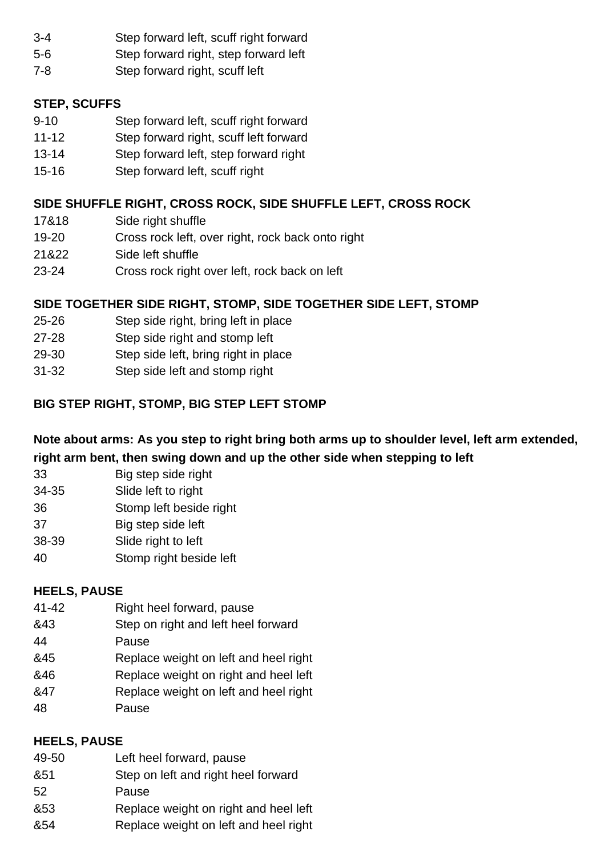- 3-4 Step forward left, scuff right forward
- 5-6 Step forward right, step forward left
- 7-8 Step forward right, scuff left

## **STEP, SCUFFS**

- 9-10 Step forward left, scuff right forward
- 11-12 Step forward right, scuff left forward
- 13-14 Step forward left, step forward right
- 15-16 Step forward left, scuff right

# **SIDE SHUFFLE RIGHT, CROSS ROCK, SIDE SHUFFLE LEFT, CROSS ROCK**

- 17&18 Side right shuffle
- 19-20 Cross rock left, over right, rock back onto right
- 21&22 Side left shuffle
- 23-24 Cross rock right over left, rock back on left

## **SIDE TOGETHER SIDE RIGHT, STOMP, SIDE TOGETHER SIDE LEFT, STOMP**

- 25-26 Step side right, bring left in place
- 27-28 Step side right and stomp left
- 29-30 Step side left, bring right in place
- 31-32 Step side left and stomp right

# **BIG STEP RIGHT, STOMP, BIG STEP LEFT STOMP**

**Note about arms: As you step to right bring both arms up to shoulder level, left arm extended, right arm bent, then swing down and up the other side when stepping to left**

- 33 Big step side right
- 34-35 Slide left to right
- 36 Stomp left beside right
- 37 Big step side left
- 38-39 Slide right to left
- 40 Stomp right beside left

## **HEELS, PAUSE**

- 41-42 Right heel forward, pause
- &43 Step on right and left heel forward
- 44 Pause
- &45 Replace weight on left and heel right
- &46 Replace weight on right and heel left
- &47 Replace weight on left and heel right
- 48 Pause

## **HEELS, PAUSE**

- 49-50 Left heel forward, pause
- &51 Step on left and right heel forward
- 52 Pause
- &53 Replace weight on right and heel left
- &54 Replace weight on left and heel right